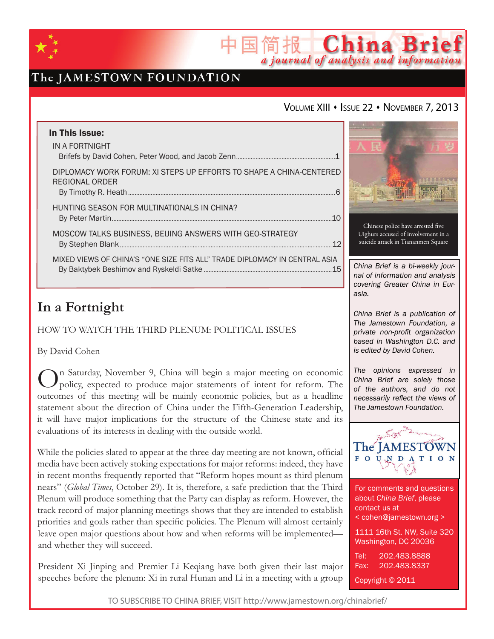

## The JAMESTOWN FOUNDATION

### VOLUME XIII · ISSUE 22 · NOVEMBER 7, 2013

简报 China Brief

a journal of analysis and information

| In This Issue:<br>IN A FORTNIGHT                                                      |
|---------------------------------------------------------------------------------------|
| DIPLOMACY WORK FORUM: XI STEPS UP EFFORTS TO SHAPE A CHINA-CENTERED<br>REGIONAL ORDER |
| HUNTING SEASON FOR MULTINATIONALS IN CHINA?                                           |
| MOSCOW TALKS BUSINESS, BEIJING ANSWERS WITH GEO-STRATEGY                              |
| MIXED VIEWS OF CHINA'S "ONE SIZE FITS ALL" TRADE DIPLOMACY IN CENTRAL ASIA<br>.15     |

# **In a Fortnight**

How to Watch the Third Plenum: Political Issues

By David Cohen

On Saturday, November 9, China will begin a major meeting on economic policy, expected to produce major statements of intent for reform. The outcomes of this meeting will be mainly economic policies, but as a headline statement about the direction of China under the Fifth-Generation Leadership, it will have major implications for the structure of the Chinese state and its evaluations of its interests in dealing with the outside world.

While the policies slated to appear at the three-day meeting are not known, official media have been actively stoking expectations for major reforms: indeed, they have in recent months frequently reported that "Reform hopes mount as third plenum nears" (*Global Times*, October 29). It is, therefore, a safe prediction that the Third Plenum will produce something that the Party can display as reform. However, the track record of major planning meetings shows that they are intended to establish priorities and goals rather than specific policies. The Plenum will almost certainly leave open major questions about how and when reforms will be implemented and whether they will succeed.

President Xi Jinping and Premier Li Keqiang have both given their last major speeches before the plenum: Xi in rural Hunan and Li in a meeting with a group



*The opinions expressed in China Brief are solely those of the authors, and do not necessarily reflect the views of The Jamestown Foundation.*



For comments and questions about *China Brief*, please contact us at < cohen@jamestown.org > 1111 16th St. NW, Suite 320 Washington, DC 20036 Tel: 202.483.8888 Fax: 202.483.8337 Copyright © 2011

TO SUBSCRIBE TO CHINA BRIEF, VISIT http://www.jamestown.org/chinabrief/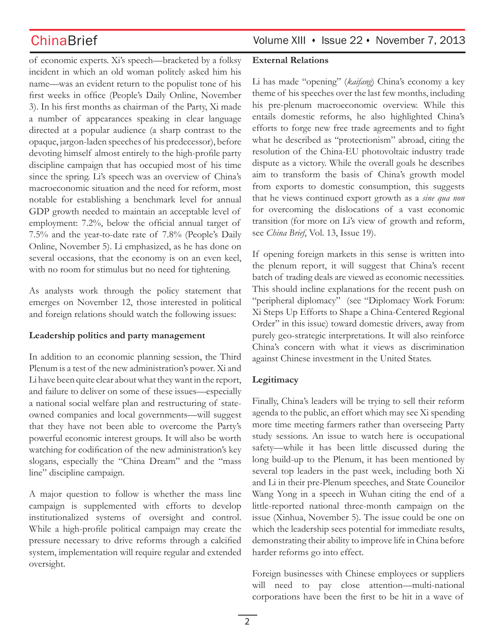of economic experts. Xi's speech—bracketed by a folksy incident in which an old woman politely asked him his name—was an evident return to the populist tone of his first weeks in office (People's Daily Online, November 3). In his first months as chairman of the Party, Xi made a number of appearances speaking in clear language directed at a popular audience (a sharp contrast to the opaque, jargon-laden speeches of his predecessor), before devoting himself almost entirely to the high-profile party discipline campaign that has occupied most of his time since the spring. Li's speech was an overview of China's macroeconomic situation and the need for reform, most notable for establishing a benchmark level for annual GDP growth needed to maintain an acceptable level of employment: 7.2%, below the official annual target of 7.5% and the year-to-date rate of 7.8% (People's Daily Online, November 5). Li emphasized, as he has done on several occasions, that the economy is on an even keel, with no room for stimulus but no need for tightening.

As analysts work through the policy statement that emerges on November 12, those interested in political and foreign relations should watch the following issues:

### **Leadership politics and party management**

In addition to an economic planning session, the Third Plenum is a test of the new administration's power. Xi and Li have been quite clear about what they want in the report, and failure to deliver on some of these issues—especially a national social welfare plan and restructuring of stateowned companies and local governments—will suggest that they have not been able to overcome the Party's powerful economic interest groups. It will also be worth watching for codification of the new administration's key slogans, especially the "China Dream" and the "mass line" discipline campaign.

A major question to follow is whether the mass line campaign is supplemented with efforts to develop institutionalized systems of oversight and control. While a high-profile political campaign may create the pressure necessary to drive reforms through a calcified system, implementation will require regular and extended oversight.

ChinaBrief Volume XIII • Issue 22 • November 7, 2013

### **External Relations**

Li has made "opening" (*kaifang*) China's economy a key theme of his speeches over the last few months, including his pre-plenum macroeconomic overview. While this entails domestic reforms, he also highlighted China's efforts to forge new free trade agreements and to fight what he described as "protectionism" abroad, citing the resolution of the China-EU photovoltaic industry trade dispute as a victory. While the overall goals he describes aim to transform the basis of China's growth model from exports to domestic consumption, this suggests that he views continued export growth as a *sine qua non* for overcoming the dislocations of a vast economic transition (for more on Li's view of growth and reform, see *China Brief*, Vol. 13, Issue 19).

If opening foreign markets in this sense is written into the plenum report, it will suggest that China's recent batch of trading deals are viewed as economic necessities. This should incline explanations for the recent push on "peripheral diplomacy" (see "Diplomacy Work Forum: Xi Steps Up Efforts to Shape a China-Centered Regional Order" in this issue) toward domestic drivers, away from purely geo-strategic interpretations. It will also reinforce China's concern with what it views as discrimination against Chinese investment in the United States.

### **Legitimacy**

Finally, China's leaders will be trying to sell their reform agenda to the public, an effort which may see Xi spending more time meeting farmers rather than overseeing Party study sessions. An issue to watch here is occupational safety—while it has been little discussed during the long build-up to the Plenum, it has been mentioned by several top leaders in the past week, including both Xi and Li in their pre-Plenum speeches, and State Councilor Wang Yong in a speech in Wuhan citing the end of a little-reported national three-month campaign on the issue (Xinhua, November 5). The issue could be one on which the leadership sees potential for immediate results, demonstrating their ability to improve life in China before harder reforms go into effect.

Foreign businesses with Chinese employees or suppliers will need to pay close attention—multi-national corporations have been the first to be hit in a wave of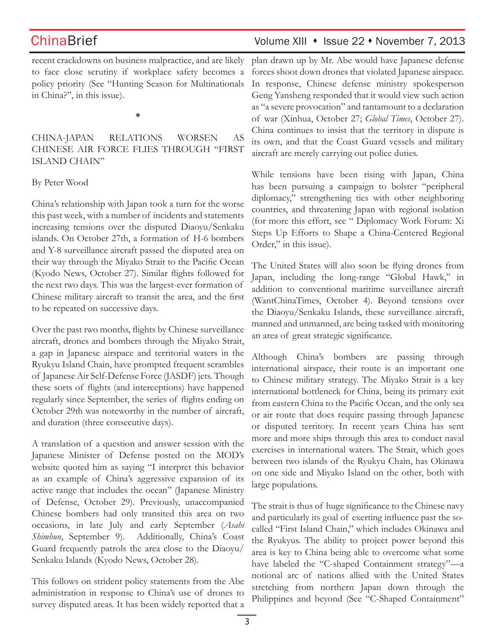## ChinaBrief Volume XIII • Issue 22 • November 7, 2013

recent crackdowns on business malpractice, and are likely to face close scrutiny if workplace safety becomes a policy priority (See "Hunting Season for Multinationals in China?", in this issue).

**\***

China-Japan Relations Worsen as Chinese Air Force Flies Through "First ISLAND CHAIN"

### By Peter Wood

China's relationship with Japan took a turn for the worse this past week, with a number of incidents and statements increasing tensions over the disputed Diaoyu/Senkaku islands. On October 27th, a formation of H-6 bombers and Y-8 surveillance aircraft passed the disputed area on their way through the Miyako Strait to the Pacific Ocean (Kyodo News, October 27). Similar flights followed for the next two days. This was the largest-ever formation of Chinese military aircraft to transit the area, and the first to be repeated on successive days.

Over the past two months, flights by Chinese surveillance aircraft, drones and bombers through the Miyako Strait, a gap in Japanese airspace and territorial waters in the Ryukyu Island Chain, have prompted frequent scrambles of Japanese Air Self-Defense Force (JASDF) jets. Though these sorts of flights (and interceptions) have happened regularly since September, the series of flights ending on October 29th was noteworthy in the number of aircraft, and duration (three consecutive days).

A translation of a question and answer session with the Japanese Minister of Defense posted on the MOD's website quoted him as saying "I interpret this behavior as an example of China's aggressive expansion of its active range that includes the ocean" (Japanese Ministry of Defense, October 29). Previously, unaccompanied Chinese bombers had only transited this area on two occasions, in late July and early September (*Asahi Shimbun*, September 9). Additionally, China's Coast Guard frequently patrols the area close to the Diaoyu/ Senkaku Islands (Kyodo News, October 28).

This follows on strident policy statements from the Abe administration in response to China's use of drones to survey disputed areas. It has been widely reported that a

plan drawn up by Mr. Abe would have Japanese defense forces shoot down drones that violated Japanese airspace. In response, Chinese defense ministry spokesperson Geng Yansheng responded that it would view such action as "a severe provocation" and tantamount to a declaration of war (Xinhua, October 27; *Global Times*, October 27). China continues to insist that the territory in dispute is its own, and that the Coast Guard vessels and military aircraft are merely carrying out police duties.

While tensions have been rising with Japan, China has been pursuing a campaign to bolster "peripheral diplomacy," strengthening ties with other neighboring countries, and threatening Japan with regional isolation (for more this effort, see " Diplomacy Work Forum: Xi Steps Up Efforts to Shape a China-Centered Regional Order," in this issue).

The United States will also soon be flying drones from Japan, including the long-range "Global Hawk," in addition to conventional maritime surveillance aircraft (WantChinaTimes, October 4). Beyond tensions over the Diaoyu/Senkaku Islands, these surveillance aircraft, manned and unmanned, are being tasked with monitoring an area of great strategic significance.

Although China's bombers are passing through international airspace, their route is an important one to Chinese military strategy. The Miyako Strait is a key international bottleneck for China, being its primary exit from eastern China to the Pacific Ocean, and the only sea or air route that does require passing through Japanese or disputed territory. In recent years China has sent more and more ships through this area to conduct naval exercises in international waters. The Strait, which goes between two islands of the Ryukyu Chain, has Okinawa on one side and Miyako Island on the other, both with large populations.

The strait is thus of huge significance to the Chinese navy and particularly its goal of exerting influence past the socalled "First Island Chain," which includes Okinawa and the Ryukyus. The ability to project power beyond this area is key to China being able to overcome what some have labeled the "C-shaped Containment strategy"—a notional arc of nations allied with the United States stretching from northern Japan down through the Philippines and beyond (See "C-Shaped Containment"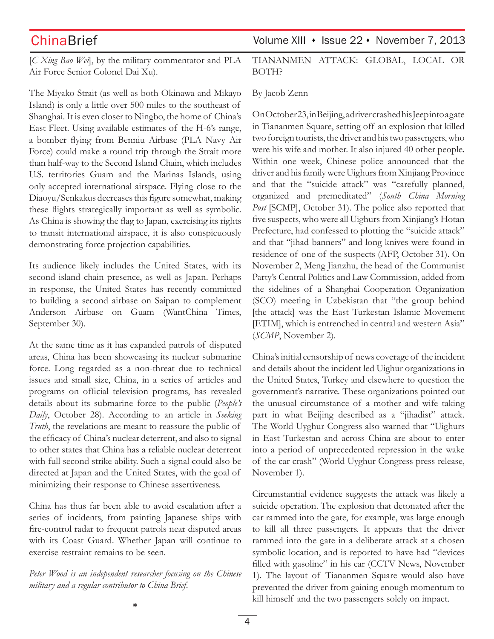[*C Xing Bao Wei*], by the military commentator and PLA Air Force Senior Colonel Dai Xu).

The Miyako Strait (as well as both Okinawa and Mikayo Island) is only a little over 500 miles to the southeast of Shanghai. It is even closer to Ningbo, the home of China's East Fleet. Using available estimates of the H-6's range, a bomber flying from Benniu Airbase (PLA Navy Air Force) could make a round trip through the Strait more than half-way to the Second Island Chain, which includes U.S. territories Guam and the Marinas Islands, using only accepted international airspace. Flying close to the Diaoyu/Senkakus decreases this figure somewhat, making these flights strategically important as well as symbolic. As China is showing the flag to Japan, exercising its rights to transit international airspace, it is also conspicuously demonstrating force projection capabilities.

Its audience likely includes the United States, with its second island chain presence, as well as Japan. Perhaps in response, the United States has recently committed to building a second airbase on Saipan to complement Anderson Airbase on Guam (WantChina Times, September 30).

At the same time as it has expanded patrols of disputed areas, China has been showcasing its nuclear submarine force. Long regarded as a non-threat due to technical issues and small size, China, in a series of articles and programs on official television programs, has revealed details about its submarine force to the public (*People's Daily*, October 28). According to an article in *Seeking Truth*, the revelations are meant to reassure the public of the efficacy of China's nuclear deterrent, and also to signal to other states that China has a reliable nuclear deterrent with full second strike ability. Such a signal could also be directed at Japan and the United States, with the goal of minimizing their response to Chinese assertiveness.

China has thus far been able to avoid escalation after a series of incidents, from painting Japanese ships with fire-control radar to frequent patrols near disputed areas with its Coast Guard. Whether Japan will continue to exercise restraint remains to be seen.

*Peter Wood is an independent researcher focusing on the Chinese military and a regular contributor to China Brief.* 

ChinaBrief Volume XIII • Issue 22 • November 7, 2013

Tiananmen Attack: Global, Local or BOTH?

### By Jacob Zenn

On October 23, in Beijing, a driver crashed his Jeep into a gate in Tiananmen Square, setting off an explosion that killed two foreign tourists, the driver and his two passengers, who were his wife and mother. It also injured 40 other people. Within one week, Chinese police announced that the driver and his family were Uighurs from Xinjiang Province and that the "suicide attack" was "carefully planned, organized and premeditated" (*South China Morning Post* [SCMP], October 31). The police also reported that five suspects, who were all Uighurs from Xinjiang's Hotan Prefecture, had confessed to plotting the "suicide attack" and that "jihad banners" and long knives were found in residence of one of the suspects (AFP, October 31). On November 2, Meng Jianzhu, the head of the Communist Party's Central Politics and Law Commission, added from the sidelines of a Shanghai Cooperation Organization (SCO) meeting in Uzbekistan that "the group behind [the attack] was the East Turkestan Islamic Movement [ETIM], which is entrenched in central and western Asia" (*SCMP*, November 2).

China's initial censorship of news coverage of the incident and details about the incident led Uighur organizations in the United States, Turkey and elsewhere to question the government's narrative. These organizations pointed out the unusual circumstance of a mother and wife taking part in what Beijing described as a "jihadist" attack. The World Uyghur Congress also warned that "Uighurs in East Turkestan and across China are about to enter into a period of unprecedented repression in the wake of the car crash" (World Uyghur Congress press release, November 1).

Circumstantial evidence suggests the attack was likely a suicide operation. The explosion that detonated after the car rammed into the gate, for example, was large enough to kill all three passengers. It appears that the driver rammed into the gate in a deliberate attack at a chosen symbolic location, and is reported to have had "devices filled with gasoline" in his car (CCTV News, November 1). The layout of Tiananmen Square would also have prevented the driver from gaining enough momentum to kill himself and the two passengers solely on impact.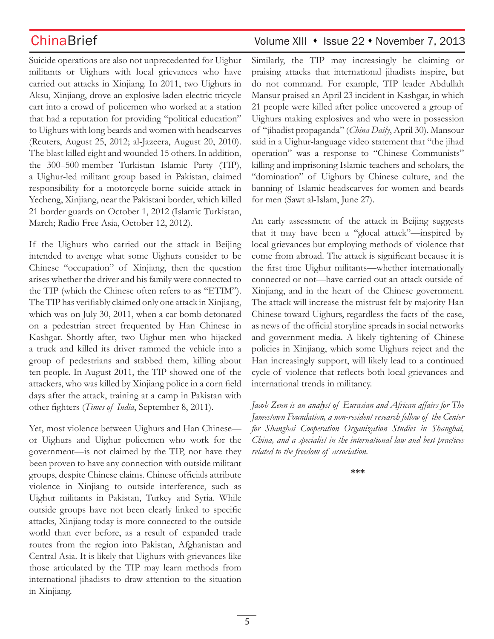Suicide operations are also not unprecedented for Uighur militants or Uighurs with local grievances who have carried out attacks in Xinjiang. In 2011, two Uighurs in Aksu, Xinjiang, drove an explosive-laden electric tricycle cart into a crowd of policemen who worked at a station that had a reputation for providing "political education" to Uighurs with long beards and women with headscarves (Reuters, August 25, 2012; al-Jazeera, August 20, 2010). The blast killed eight and wounded 15 others. In addition, the 300–500-member Turkistan Islamic Party (TIP), a Uighur-led militant group based in Pakistan, claimed responsibility for a motorcycle-borne suicide attack in Yecheng, Xinjiang, near the Pakistani border, which killed 21 border guards on October 1, 2012 (Islamic Turkistan, March; Radio Free Asia, October 12, 2012).

If the Uighurs who carried out the attack in Beijing intended to avenge what some Uighurs consider to be Chinese "occupation" of Xinjiang, then the question arises whether the driver and his family were connected to the TIP (which the Chinese often refers to as "ETIM"). The TIP has verifiably claimed only one attack in Xinjiang, which was on July 30, 2011, when a car bomb detonated on a pedestrian street frequented by Han Chinese in Kashgar. Shortly after, two Uighur men who hijacked a truck and killed its driver rammed the vehicle into a group of pedestrians and stabbed them, killing about ten people. In August 2011, the TIP showed one of the attackers, who was killed by Xinjiang police in a corn field days after the attack, training at a camp in Pakistan with other fighters (*Times of India*, September 8, 2011).

Yet, most violence between Uighurs and Han Chinese or Uighurs and Uighur policemen who work for the government—is not claimed by the TIP, nor have they been proven to have any connection with outside militant groups, despite Chinese claims. Chinese officials attribute violence in Xinjiang to outside interference, such as Uighur militants in Pakistan, Turkey and Syria. While outside groups have not been clearly linked to specific attacks, Xinjiang today is more connected to the outside world than ever before, as a result of expanded trade routes from the region into Pakistan, Afghanistan and Central Asia. It is likely that Uighurs with grievances like those articulated by the TIP may learn methods from international jihadists to draw attention to the situation in Xinjiang.

## ChinaBrief Volume XIII • Issue 22 • November 7, 2013

Similarly, the TIP may increasingly be claiming or praising attacks that international jihadists inspire, but do not command. For example, TIP leader Abdullah Mansur praised an April 23 incident in Kashgar, in which 21 people were killed after police uncovered a group of Uighurs making explosives and who were in possession of "jihadist propaganda" (*China Daily*, April 30). Mansour said in a Uighur-language video statement that "the jihad operation" was a response to "Chinese Communists" killing and imprisoning Islamic teachers and scholars, the "domination" of Uighurs by Chinese culture, and the banning of Islamic headscarves for women and beards for men (Sawt al-Islam, June 27).

An early assessment of the attack in Beijing suggests that it may have been a "glocal attack"—inspired by local grievances but employing methods of violence that come from abroad. The attack is significant because it is the first time Uighur militants—whether internationally connected or not—have carried out an attack outside of Xinjiang, and in the heart of the Chinese government. The attack will increase the mistrust felt by majority Han Chinese toward Uighurs, regardless the facts of the case, as news of the official storyline spreads in social networks and government media. A likely tightening of Chinese policies in Xinjiang, which some Uighurs reject and the Han increasingly support, will likely lead to a continued cycle of violence that reflects both local grievances and international trends in militancy.

*Jacob Zenn is an analyst of Eurasian and African affairs for The Jamestown Foundation, a non-resident research fellow of the Center for Shanghai Cooperation Organization Studies in Shanghai, China, and a specialist in the international law and best practices related to the freedom of association.*

**\*\*\***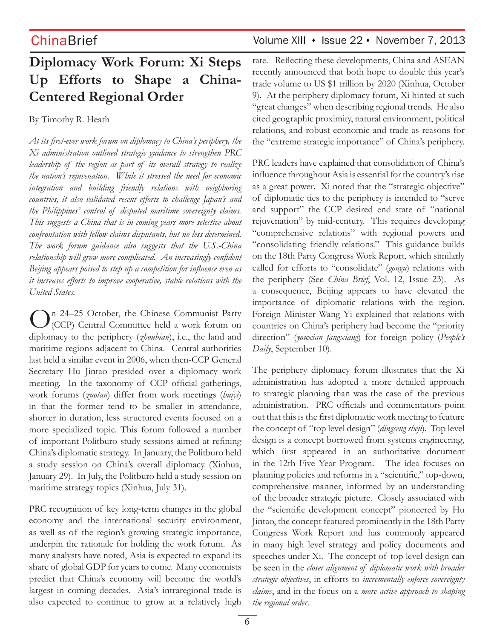# **Diplomacy Work Forum: Xi Steps Up Efforts to Shape a China-Centered Regional Order**

By Timothy R. Heath

*At its first-ever work forum on diplomacy to China's periphery, the Xi administration outlined strategic guidance to strengthen PRC leadership of the region as part of its overall strategy to realize the nation's rejuvenation. While it stressed the need for economic integration and building friendly relations with neighboring countries, it also validated recent efforts to challenge Japan's and the Philippines' control of disputed maritime sovereignty claims. This suggests a China that is in coming years more selective about confrontation with fellow claims disputants, but no less determined. The work forum guidance also suggests that the U.S.-China relationship will grow more complicated. An increasingly confident Beijing appears poised to step up a competition for influence even as it increases efforts to improve cooperative, stable relations with the United States.*

In 24–25 October, the Chinese Communist Party  $\mathcal{L}$  (CCP) Central Committee held a work forum on diplomacy to the periphery (*zhoubian*), i.e., the land and maritime regions adjacent to China. Central authorities last held a similar event in 2006, when then-CCP General Secretary Hu Jintao presided over a diplomacy work meeting. In the taxonomy of CCP official gatherings, work forums (*zuotan*) differ from work meetings (*huiyi*) in that the former tend to be smaller in attendance, shorter in duration, less structured events focused on a more specialized topic. This forum followed a number of important Politburo study sessions aimed at refining China's diplomatic strategy. In January, the Politburo held a study session on China's overall diplomacy (Xinhua, January 29). In July, the Politburo held a study session on maritime strategy topics (Xinhua, July 31).

PRC recognition of key long-term changes in the global economy and the international security environment, as well as of the region's growing strategic importance, underpin the rationale for holding the work forum. As many analysts have noted, Asia is expected to expand its share of global GDP for years to come. Many economists predict that China's economy will become the world's largest in coming decades. Asia's intraregional trade is also expected to continue to grow at a relatively high

## ChinaBrief Volume XIII • Issue 22 • November 7, 2013

rate. Reflecting these developments, China and ASEAN recently announced that both hope to double this year's trade volume to US \$1 trillion by 2020 (Xinhua, October 9). At the periphery diplomacy forum, Xi hinted at such "great changes" when describing regional trends. He also cited geographic proximity, natural environment, political relations, and robust economic and trade as reasons for the "extreme strategic importance" of China's periphery.

PRC leaders have explained that consolidation of China's influence throughout Asia is essential for the country's rise as a great power. Xi noted that the "strategic objective" of diplomatic ties to the periphery is intended to "serve and support" the CCP desired end state of "national rejuvenation" by mid-century. This requires developing "comprehensive relations" with regional powers and "consolidating friendly relations." This guidance builds on the 18th Party Congress Work Report, which similarly called for efforts to "consolidate" (*gongu*) relations with the periphery (See *China Brief*, Vol. 12, Issue 23). As a consequence, Beijing appears to have elevated the importance of diplomatic relations with the region. Foreign Minister Wang Yi explained that relations with countries on China's periphery had become the "priority direction" (*youxian fangxiang*) for foreign policy (*People's Daily*, September 10).

The periphery diplomacy forum illustrates that the Xi administration has adopted a more detailed approach to strategic planning than was the case of the previous administration. PRC officials and commentators point out that this is the first diplomatic work meeting to feature the concept of "top level design" (*dingceng sheji*). Top level design is a concept borrowed from systems engineering, which first appeared in an authoritative document in the 12th Five Year Program. The idea focuses on planning policies and reforms in a "scientific," top-down, comprehensive manner, informed by an understanding of the broader strategic picture. Closely associated with the "scientific development concept" pioneered by Hu Jintao, the concept featured prominently in the 18th Party Congress Work Report and has commonly appeared in many high level strategy and policy documents and speeches under Xi. The concept of top level design can be seen in the *closer alignment of diplomatic work with broader strategic objectives*, in efforts to *incrementally enforce sovereignty claims*, and in the focus on a *more active approach to shaping the regional order*.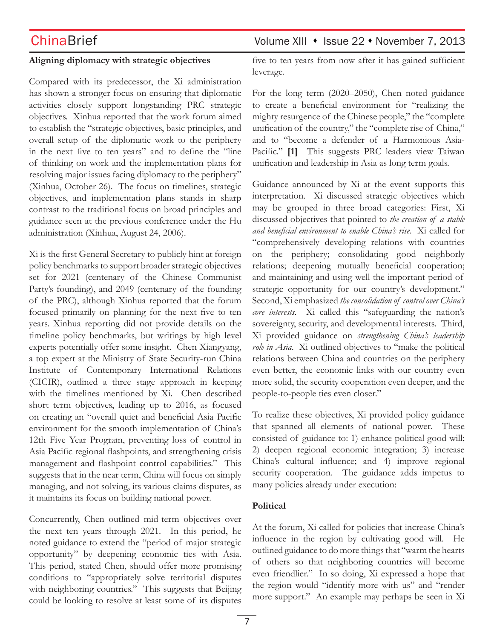### **Aligning diplomacy with strategic objectives**

Compared with its predecessor, the Xi administration has shown a stronger focus on ensuring that diplomatic activities closely support longstanding PRC strategic objectives. Xinhua reported that the work forum aimed to establish the "strategic objectives, basic principles, and overall setup of the diplomatic work to the periphery in the next five to ten years" and to define the "line of thinking on work and the implementation plans for resolving major issues facing diplomacy to the periphery" (Xinhua, October 26). The focus on timelines, strategic objectives, and implementation plans stands in sharp contrast to the traditional focus on broad principles and guidance seen at the previous conference under the Hu administration (Xinhua, August 24, 2006).

Xi is the first General Secretary to publicly hint at foreign policy benchmarks to support broader strategic objectives set for 2021 (centenary of the Chinese Communist Party's founding), and 2049 (centenary of the founding of the PRC), although Xinhua reported that the forum focused primarily on planning for the next five to ten years. Xinhua reporting did not provide details on the timeline policy benchmarks, but writings by high level experts potentially offer some insight. Chen Xiangyang, a top expert at the Ministry of State Security-run China Institute of Contemporary International Relations (CICIR), outlined a three stage approach in keeping with the timelines mentioned by Xi. Chen described short term objectives, leading up to 2016, as focused on creating an "overall quiet and beneficial Asia Pacific environment for the smooth implementation of China's 12th Five Year Program, preventing loss of control in Asia Pacific regional flashpoints, and strengthening crisis management and flashpoint control capabilities." This suggests that in the near term, China will focus on simply managing, and not solving, its various claims disputes, as it maintains its focus on building national power.

Concurrently, Chen outlined mid-term objectives over the next ten years through 2021. In this period, he noted guidance to extend the "period of major strategic opportunity" by deepening economic ties with Asia. This period, stated Chen, should offer more promising conditions to "appropriately solve territorial disputes with neighboring countries." This suggests that Beijing could be looking to resolve at least some of its disputes

five to ten years from now after it has gained sufficient leverage.

For the long term (2020–2050), Chen noted guidance to create a beneficial environment for "realizing the mighty resurgence of the Chinese people," the "complete unification of the country," the "complete rise of China," and to "become a defender of a Harmonious Asia-Pacific." [1] This suggests PRC leaders view Taiwan unification and leadership in Asia as long term goals.

Guidance announced by Xi at the event supports this interpretation. Xi discussed strategic objectives which may be grouped in three broad categories: First, Xi discussed objectives that pointed to *the creation of a stable and beneficial environment to enable China's rise*. Xi called for "comprehensively developing relations with countries on the periphery; consolidating good neighborly relations; deepening mutually beneficial cooperation; and maintaining and using well the important period of strategic opportunity for our country's development." Second, Xi emphasized *the consolidation of control over China's core interests*. Xi called this "safeguarding the nation's sovereignty, security, and developmental interests. Third, Xi provided guidance on *strengthening China's leadership role in Asia*. Xi outlined objectives to "make the political relations between China and countries on the periphery even better, the economic links with our country even more solid, the security cooperation even deeper, and the people-to-people ties even closer."

To realize these objectives, Xi provided policy guidance that spanned all elements of national power. These consisted of guidance to: 1) enhance political good will; 2) deepen regional economic integration; 3) increase China's cultural influence; and 4) improve regional security cooperation. The guidance adds impetus to many policies already under execution:

### **Political**

At the forum, Xi called for policies that increase China's influence in the region by cultivating good will. He outlined guidance to do more things that "warm the hearts of others so that neighboring countries will become even friendlier." In so doing, Xi expressed a hope that the region would "identify more with us" and "render more support." An example may perhaps be seen in Xi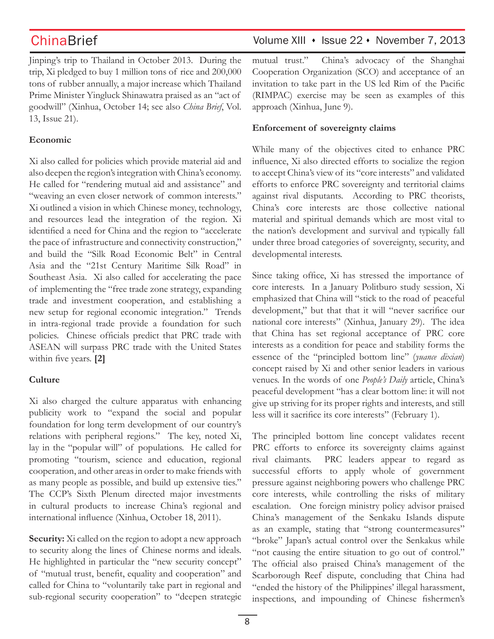Jinping's trip to Thailand in October 2013. During the trip, Xi pledged to buy 1 million tons of rice and 200,000 tons of rubber annually, a major increase which Thailand Prime Minister Yingluck Shinawatra praised as an "act of goodwill" (Xinhua, October 14; see also *China Brief*, Vol. 13, Issue 21).

### **Economic**

Xi also called for policies which provide material aid and also deepen the region's integration with China's economy. He called for "rendering mutual aid and assistance" and "weaving an even closer network of common interests." Xi outlined a vision in which Chinese money, technology, and resources lead the integration of the region. Xi identified a need for China and the region to "accelerate the pace of infrastructure and connectivity construction," and build the "Silk Road Economic Belt" in Central Asia and the "21st Century Maritime Silk Road" in Southeast Asia. Xi also called for accelerating the pace of implementing the "free trade zone strategy, expanding trade and investment cooperation, and establishing a new setup for regional economic integration." Trends in intra-regional trade provide a foundation for such policies. Chinese officials predict that PRC trade with ASEAN will surpass PRC trade with the United States within five years. **[2]**

### **Culture**

Xi also charged the culture apparatus with enhancing publicity work to "expand the social and popular foundation for long term development of our country's relations with peripheral regions." The key, noted Xi, lay in the "popular will" of populations. He called for promoting "tourism, science and education, regional cooperation, and other areas in order to make friends with as many people as possible, and build up extensive ties." The CCP's Sixth Plenum directed major investments in cultural products to increase China's regional and international influence (Xinhua, October 18, 2011).

**Security:** Xi called on the region to adopt a new approach to security along the lines of Chinese norms and ideals. He highlighted in particular the "new security concept" of "mutual trust, benefit, equality and cooperation" and called for China to "voluntarily take part in regional and sub-regional security cooperation" to "deepen strategic

## ChinaBrief Volume XIII • Issue 22 • November 7, 2013

mutual trust." China's advocacy of the Shanghai Cooperation Organization (SCO) and acceptance of an invitation to take part in the US led Rim of the Pacific (RIMPAC) exercise may be seen as examples of this approach (Xinhua, June 9).

## **Enforcement of sovereignty claims**

While many of the objectives cited to enhance PRC influence, Xi also directed efforts to socialize the region to accept China's view of its "core interests" and validated efforts to enforce PRC sovereignty and territorial claims against rival disputants. According to PRC theorists, China's core interests are those collective national material and spiritual demands which are most vital to the nation's development and survival and typically fall under three broad categories of sovereignty, security, and developmental interests.

Since taking office, Xi has stressed the importance of core interests. In a January Politburo study session, Xi emphasized that China will "stick to the road of peaceful development," but that that it will "never sacrifice our national core interests" (Xinhua, January 29). The idea that China has set regional acceptance of PRC core interests as a condition for peace and stability forms the essence of the "principled bottom line" (*yuance dixian*) concept raised by Xi and other senior leaders in various venues. In the words of one *People's Daily* article, China's peaceful development "has a clear bottom line: it will not give up striving for its proper rights and interests, and still less will it sacrifice its core interests" (February 1).

The principled bottom line concept validates recent PRC efforts to enforce its sovereignty claims against rival claimants. PRC leaders appear to regard as successful efforts to apply whole of government pressure against neighboring powers who challenge PRC core interests, while controlling the risks of military escalation. One foreign ministry policy advisor praised China's management of the Senkaku Islands dispute as an example, stating that "strong countermeasures" "broke" Japan's actual control over the Senkakus while "not causing the entire situation to go out of control." The official also praised China's management of the Scarborough Reef dispute, concluding that China had "ended the history of the Philippines' illegal harassment, inspections, and impounding of Chinese fishermen's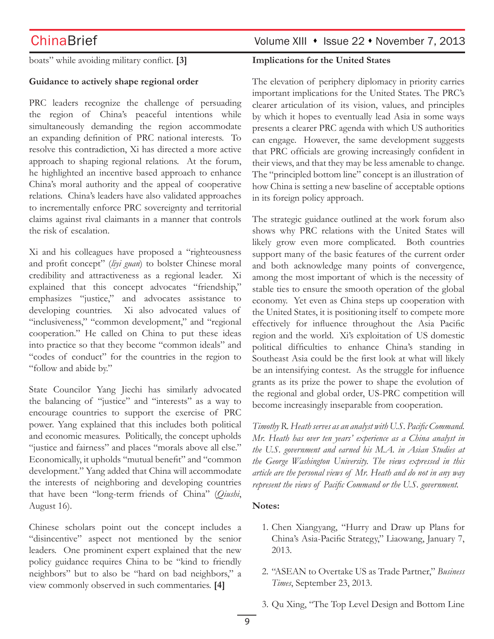boats" while avoiding military conflict. **[3]**

### **Guidance to actively shape regional order**

PRC leaders recognize the challenge of persuading the region of China's peaceful intentions while simultaneously demanding the region accommodate an expanding definition of PRC national interests. To resolve this contradiction, Xi has directed a more active approach to shaping regional relations. At the forum, he highlighted an incentive based approach to enhance China's moral authority and the appeal of cooperative relations. China's leaders have also validated approaches to incrementally enforce PRC sovereignty and territorial claims against rival claimants in a manner that controls the risk of escalation.

Xi and his colleagues have proposed a "righteousness and profit concept" (*liyi guan*) to bolster Chinese moral credibility and attractiveness as a regional leader. Xi explained that this concept advocates "friendship," emphasizes "justice," and advocates assistance to developing countries. Xi also advocated values of "inclusiveness," "common development," and "regional cooperation." He called on China to put these ideas into practice so that they become "common ideals" and "codes of conduct" for the countries in the region to "follow and abide by."

State Councilor Yang Jiechi has similarly advocated the balancing of "justice" and "interests" as a way to encourage countries to support the exercise of PRC power. Yang explained that this includes both political and economic measures. Politically, the concept upholds "justice and fairness" and places "morals above all else." Economically, it upholds "mutual benefit" and "common development." Yang added that China will accommodate the interests of neighboring and developing countries that have been "long-term friends of China" (*Qiushi*, August 16).

Chinese scholars point out the concept includes a "disincentive" aspect not mentioned by the senior leaders. One prominent expert explained that the new policy guidance requires China to be "kind to friendly neighbors" but to also be "hard on bad neighbors," a view commonly observed in such commentaries. **[4]**

## ChinaBrief Volume XIII • Issue 22 • November 7, 2013

### **Implications for the United States**

The elevation of periphery diplomacy in priority carries important implications for the United States. The PRC's clearer articulation of its vision, values, and principles by which it hopes to eventually lead Asia in some ways presents a clearer PRC agenda with which US authorities can engage. However, the same development suggests that PRC officials are growing increasingly confident in their views, and that they may be less amenable to change. The "principled bottom line" concept is an illustration of how China is setting a new baseline of acceptable options in its foreign policy approach.

The strategic guidance outlined at the work forum also shows why PRC relations with the United States will likely grow even more complicated. Both countries support many of the basic features of the current order and both acknowledge many points of convergence, among the most important of which is the necessity of stable ties to ensure the smooth operation of the global economy. Yet even as China steps up cooperation with the United States, it is positioning itself to compete more effectively for influence throughout the Asia Pacific region and the world. Xi's exploitation of US domestic political difficulties to enhance China's standing in Southeast Asia could be the first look at what will likely be an intensifying contest. As the struggle for influence grants as its prize the power to shape the evolution of the regional and global order, US-PRC competition will become increasingly inseparable from cooperation.

*Timothy R. Heath serves as an analyst with U.S. Pacific Command. Mr. Heath has over ten years' experience as a China analyst in the U.S. government and earned his M.A. in Asian Studies at the George Washington University. The views expressed in this article are the personal views of Mr. Heath and do not in any way represent the views of Pacific Command or the U.S. government.*

### **Notes:**

- 1. Chen Xiangyang, "Hurry and Draw up Plans for China's Asia-Pacific Strategy," Liaowang, January 7, 2013.
- 2. "ASEAN to Overtake US as Trade Partner," *Business Times*, September 23, 2013.
- 3. Qu Xing, "The Top Level Design and Bottom Line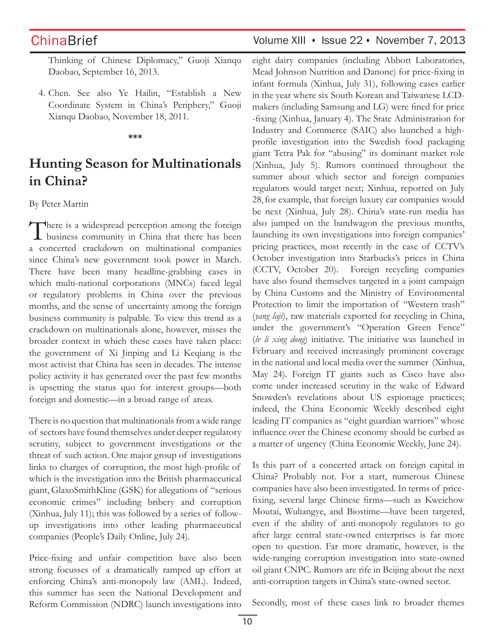Thinking of Chinese Diplomacy," Guoji Xianqu Daobao, September 16, 2013.

4. Chen. See also Ye Hailin, "Establish a New Coordinate System in China's Periphery," Guoji Xianqu Daobao, November 18, 2011.

### **\*\*\***

# **Hunting Season for Multinationals in China?**

By Peter Martin

There is a widespread perception among the foreign business community in China that there has been a concerted crackdown on multinational companies since China's new government took power in March. There have been many headline-grabbing cases in which multi-national corporations (MNCs) faced legal or regulatory problems in China over the previous months, and the sense of uncertainty among the foreign business community is palpable. To view this trend as a crackdown on multinationals alone, however, misses the broader context in which these cases have taken place: the government of Xi Jinping and Li Keqiang is the most activist that China has seen in decades. The intense policy activity it has generated over the past few months is upsetting the status quo for interest groups—both foreign and domestic—in a broad range of areas.

There is no question that multinationals from a wide range of sectors have found themselves under deeper regulatory scrutiny, subject to government investigations or the threat of such action. One major group of investigations links to charges of corruption, the most high-profile of which is the investigation into the British pharmaceutical giant, GlaxoSmithKline (GSK) for allegations of "serious economic crimes" including bribery and corruption (Xinhua, July 11); this was followed by a series of followup investigations into other leading pharmaceutical companies (People's Daily Online, July 24).

Price-fixing and unfair competition have also been strong focusses of a dramatically ramped up effort at enforcing China's anti-monopoly law (AML). Indeed, this summer has seen the National Development and Reform Commission (NDRC) launch investigations into

## ChinaBrief Volume XIII • Issue 22 • November 7, 2013

eight dairy companies (including Abbott Laboratories, Mead Johnson Nutrition and Danone) for price-fixing in infant formula (Xinhua, July 31), following cases earlier in the year where six South Korean and Taiwanese LCDmakers (including Samsung and LG) were fined for price -fixing (Xinhua, January 4). The State Administration for Industry and Commerce (SAIC) also launched a highprofile investigation into the Swedish food packaging giant Tetra Pak for "abusing" its dominant market role (Xinhua, July 5). Rumors continued throughout the summer about which sector and foreign companies regulators would target next; Xinhua, reported on July 28,for example, that foreign luxury car companies would be next (Xinhua, July 28). China's state-run media has also jumped on the bandwagon the previous months, launching its own investigations into foreign companies' pricing practices, most recently in the case of CCTV's October investigation into Starbucks's prices in China (CCTV, October 20). Foreign recycling companies have also found themselves targeted in a joint campaign by China Customs and the Ministry of Environmental Protection to limit the importation of "Western trash" (*yang laji*), raw materials exported for recycling in China, under the government's "Operation Green Fence" (*lv li xing dong*) initiative. The initiative was launched in February and received increasingly prominent coverage in the national and local media over the summer (Xinhua, May 24). Foreign IT giants such as Cisco have also come under increased scrutiny in the wake of Edward Snowden's revelations about US espionage practices; indeed, the China Economic Weekly described eight leading IT companies as "eight guardian warriors" whose influence over the Chinese economy should be curbed as a matter of urgency (China Economic Weekly, June 24).

Is this part of a concerted attack on foreign capital in China? Probably not. For a start, numerous Chinese companies have also been investigated. In terms of pricefixing, several large Chinese firms—such as Kweichow Moutai, Wuliangye, and Biostime—have been targeted, even if the ability of anti-monopoly regulators to go after large central state-owned enterprises is far more open to question. Far more dramatic, however, is the wide-ranging corruption investigation into state-owned oil giant CNPC. Rumors are rife in Beijing about the next anti-corruption targets in China's state-owned sector.

Secondly, most of these cases link to broader themes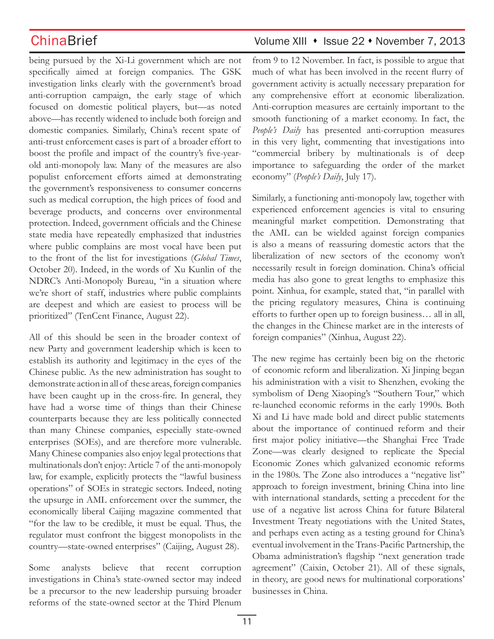being pursued by the Xi-Li government which are not specifically aimed at foreign companies. The GSK investigation links clearly with the government's broad anti-corruption campaign, the early stage of which focused on domestic political players, but—as noted above—has recently widened to include both foreign and domestic companies. Similarly, China's recent spate of anti-trust enforcement cases is part of a broader effort to boost the profile and impact of the country's five-yearold anti-monopoly law. Many of the measures are also populist enforcement efforts aimed at demonstrating the government's responsiveness to consumer concerns such as medical corruption, the high prices of food and beverage products, and concerns over environmental protection. Indeed, government officials and the Chinese state media have repeatedly emphasized that industries where public complains are most vocal have been put to the front of the list for investigations (*Global Times*, October 20). Indeed, in the words of Xu Kunlin of the NDRC's Anti-Monopoly Bureau, "in a situation where we're short of staff, industries where public complaints are deepest and which are easiest to process will be prioritized" (TenCent Finance, August 22).

All of this should be seen in the broader context of new Party and government leadership which is keen to establish its authority and legitimacy in the eyes of the Chinese public. As the new administration has sought to demonstrate action in all of these areas, foreign companies have been caught up in the cross-fire. In general, they have had a worse time of things than their Chinese counterparts because they are less politically connected than many Chinese companies, especially state-owned enterprises (SOEs), and are therefore more vulnerable. Many Chinese companies also enjoy legal protections that multinationals don't enjoy: Article 7 of the anti-monopoly law, for example, explicitly protects the "lawful business operations" of SOEs in strategic sectors. Indeed, noting the upsurge in AML enforcement over the summer, the economically liberal Caijing magazine commented that "for the law to be credible, it must be equal. Thus, the regulator must confront the biggest monopolists in the country—state-owned enterprises" (Caijing, August 28).

Some analysts believe that recent corruption investigations in China's state-owned sector may indeed be a precursor to the new leadership pursuing broader reforms of the state-owned sector at the Third Plenum

## ChinaBrief Volume XIII • Issue 22 • November 7, 2013

from 9 to 12 November. In fact, is possible to argue that much of what has been involved in the recent flurry of government activity is actually necessary preparation for any comprehensive effort at economic liberalization. Anti-corruption measures are certainly important to the smooth functioning of a market economy. In fact, the *People's Daily* has presented anti-corruption measures in this very light, commenting that investigations into "commercial bribery by multinationals is of deep importance to safeguarding the order of the market economy" (*People's Daily*, July 17).

Similarly, a functioning anti-monopoly law, together with experienced enforcement agencies is vital to ensuring meaningful market competition. Demonstrating that the AML can be wielded against foreign companies is also a means of reassuring domestic actors that the liberalization of new sectors of the economy won't necessarily result in foreign domination. China's official media has also gone to great lengths to emphasize this point. Xinhua, for example, stated that, "in parallel with the pricing regulatory measures, China is continuing efforts to further open up to foreign business… all in all, the changes in the Chinese market are in the interests of foreign companies" (Xinhua, August 22).

The new regime has certainly been big on the rhetoric of economic reform and liberalization. Xi Jinping began his administration with a visit to Shenzhen, evoking the symbolism of Deng Xiaoping's "Southern Tour," which re-launched economic reforms in the early 1990s. Both Xi and Li have made bold and direct public statements about the importance of continued reform and their first major policy initiative—the Shanghai Free Trade Zone—was clearly designed to replicate the Special Economic Zones which galvanized economic reforms in the 1980s. The Zone also introduces a "negative list" approach to foreign investment, brining China into line with international standards, setting a precedent for the use of a negative list across China for future Bilateral Investment Treaty negotiations with the United States, and perhaps even acting as a testing ground for China's eventual involvement in the Trans-Pacific Partnership, the Obama administration's flagship "next generation trade agreement" (Caixin, October 21). All of these signals, in theory, are good news for multinational corporations' businesses in China.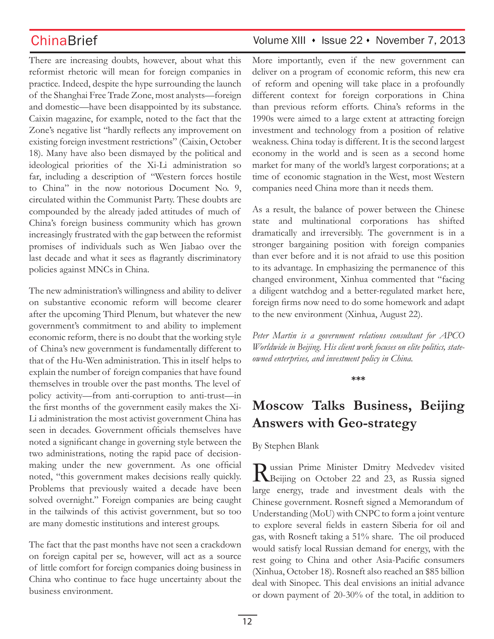There are increasing doubts, however, about what this reformist rhetoric will mean for foreign companies in practice. Indeed, despite the hype surrounding the launch of the Shanghai Free Trade Zone, most analysts—foreign and domestic—have been disappointed by its substance. Caixin magazine, for example, noted to the fact that the Zone's negative list "hardly reflects any improvement on existing foreign investment restrictions" (Caixin, October 18). Many have also been dismayed by the political and ideological priorities of the Xi-Li administration so far, including a description of "Western forces hostile to China" in the now notorious Document No. 9, circulated within the Communist Party. These doubts are compounded by the already jaded attitudes of much of China's foreign business community which has grown increasingly frustrated with the gap between the reformist promises of individuals such as Wen Jiabao over the last decade and what it sees as flagrantly discriminatory policies against MNCs in China.

The new administration's willingness and ability to deliver on substantive economic reform will become clearer after the upcoming Third Plenum, but whatever the new government's commitment to and ability to implement economic reform, there is no doubt that the working style of China's new government is fundamentally different to that of the Hu-Wen administration. This in itself helps to explain the number of foreign companies that have found themselves in trouble over the past months. The level of policy activity—from anti-corruption to anti-trust—in the first months of the government easily makes the Xi-Li administration the most activist government China has seen in decades. Government officials themselves have noted a significant change in governing style between the two administrations, noting the rapid pace of decisionmaking under the new government. As one official noted, "this government makes decisions really quickly. Problems that previously waited a decade have been solved overnight." Foreign companies are being caught in the tailwinds of this activist government, but so too are many domestic institutions and interest groups.

The fact that the past months have not seen a crackdown on foreign capital per se, however, will act as a source of little comfort for foreign companies doing business in China who continue to face huge uncertainty about the business environment.

## ChinaBrief Volume XIII • Issue 22 • November 7, 2013

More importantly, even if the new government can deliver on a program of economic reform, this new era of reform and opening will take place in a profoundly different context for foreign corporations in China than previous reform efforts. China's reforms in the 1990s were aimed to a large extent at attracting foreign investment and technology from a position of relative weakness. China today is different. It is the second largest economy in the world and is seen as a second home market for many of the world's largest corporations; at a time of economic stagnation in the West, most Western companies need China more than it needs them.

As a result, the balance of power between the Chinese state and multinational corporations has shifted dramatically and irreversibly. The government is in a stronger bargaining position with foreign companies than ever before and it is not afraid to use this position to its advantage. In emphasizing the permanence of this changed environment, Xinhua commented that "facing a diligent watchdog and a better-regulated market here, foreign firms now need to do some homework and adapt to the new environment (Xinhua, August 22).

*Peter Martin is a government relations consultant for APCO Worldwide in Beijing. His client work focuses on elite politics, stateowned enterprises, and investment policy in China.* 

**\*\*\***

# **Moscow Talks Business, Beijing Answers with Geo-strategy**

### By Stephen Blank

Russian Prime Minister Dmitry Medvedev visited<br>Reijing on October 22 and 23, as Russia signed large energy, trade and investment deals with the Chinese government. Rosneft signed a Memorandum of Understanding (MoU) with CNPC to form a joint venture to explore several fields in eastern Siberia for oil and gas, with Rosneft taking a 51% share. The oil produced would satisfy local Russian demand for energy, with the rest going to China and other Asia-Pacific consumers (Xinhua, October 18). Rosneft also reached an \$85 billion deal with Sinopec. This deal envisions an initial advance or down payment of 20-30% of the total, in addition to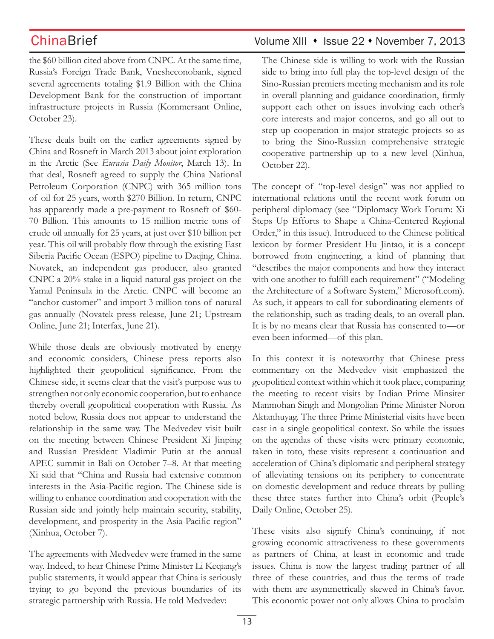the \$60 billion cited above from CNPC. At the same time, Russia's Foreign Trade Bank, Vnesheconobank, signed several agreements totaling \$1.9 Billion with the China Development Bank for the construction of important infrastructure projects in Russia (Kommersant Online, October 23).

These deals built on the earlier agreements signed by China and Rosneft in March 2013 about joint exploration in the Arctic (See *Eurasia Daily Monitor*, March 13). In that deal, Rosneft agreed to supply the China National Petroleum Corporation (CNPC) with 365 million tons of oil for 25 years, worth \$270 Billion. In return, CNPC has apparently made a pre-payment to Rosneft of \$60- 70 Billion. This amounts to 15 million metric tons of crude oil annually for 25 years, at just over \$10 billion per year. This oil will probably flow through the existing East Siberia Pacific Ocean (ESPO) pipeline to Daqing, China. Novatek, an independent gas producer, also granted CNPC a 20% stake in a liquid natural gas project on the Yamal Peninsula in the Arctic. CNPC will become an "anchor customer" and import 3 million tons of natural gas annually (Novatek press release, June 21; Upstream Online, June 21; Interfax, June 21).

While those deals are obviously motivated by energy and economic considers, Chinese press reports also highlighted their geopolitical significance. From the Chinese side, it seems clear that the visit's purpose was to strengthen not only economic cooperation, but to enhance thereby overall geopolitical cooperation with Russia. As noted below, Russia does not appear to understand the relationship in the same way. The Medvedev visit built on the meeting between Chinese President Xi Jinping and Russian President Vladimir Putin at the annual APEC summit in Bali on October 7–8. At that meeting Xi said that "China and Russia had extensive common interests in the Asia-Pacific region. The Chinese side is willing to enhance coordination and cooperation with the Russian side and jointly help maintain security, stability, development, and prosperity in the Asia-Pacific region" (Xinhua, October 7).

The agreements with Medvedev were framed in the same way. Indeed, to hear Chinese Prime Minister Li Keqiang's public statements, it would appear that China is seriously trying to go beyond the previous boundaries of its strategic partnership with Russia. He told Medvedev:

## ChinaBrief Volume XIII • Issue 22 • November 7, 2013

The Chinese side is willing to work with the Russian side to bring into full play the top-level design of the Sino-Russian premiers meeting mechanism and its role in overall planning and guidance coordination, firmly support each other on issues involving each other's core interests and major concerns, and go all out to step up cooperation in major strategic projects so as to bring the Sino-Russian comprehensive strategic cooperative partnership up to a new level (Xinhua, October 22).

The concept of "top-level design" was not applied to international relations until the recent work forum on peripheral diplomacy (see "Diplomacy Work Forum: Xi Steps Up Efforts to Shape a China-Centered Regional Order," in this issue). Introduced to the Chinese political lexicon by former President Hu Jintao, it is a concept borrowed from engineering, a kind of planning that "describes the major components and how they interact with one another to fulfill each requirement" ("Modeling the Architecture of a Software System," Microsoft.com). As such, it appears to call for subordinating elements of the relationship, such as trading deals, to an overall plan. It is by no means clear that Russia has consented to—or even been informed—of this plan.

In this context it is noteworthy that Chinese press commentary on the Medvedev visit emphasized the geopolitical context within which it took place, comparing the meeting to recent visits by Indian Prime Minsiter Manmohan Singh and Mongolian Prime Minister Noron Aktanhuyag. The three Prime Ministerial visits have been cast in a single geopolitical context. So while the issues on the agendas of these visits were primary economic, taken in toto, these visits represent a continuation and acceleration of China's diplomatic and peripheral strategy of alleviating tensions on its periphery to concentrate on domestic development and reduce threats by pulling these three states further into China's orbit (People's Daily Online, October 25).

These visits also signify China's continuing, if not growing economic attractiveness to these governments as partners of China, at least in economic and trade issues. China is now the largest trading partner of all three of these countries, and thus the terms of trade with them are asymmetrically skewed in China's favor. This economic power not only allows China to proclaim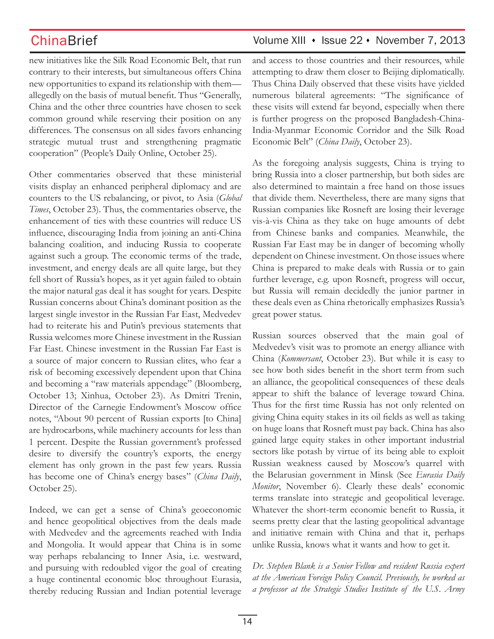ChinaBrief Volume XIII • Issue 22 • November 7, 2013

new initiatives like the Silk Road Economic Belt, that run contrary to their interests, but simultaneous offers China new opportunities to expand its relationship with them allegedly on the basis of mutual benefit. Thus "Generally, China and the other three countries have chosen to seek common ground while reserving their position on any differences. The consensus on all sides favors enhancing strategic mutual trust and strengthening pragmatic cooperation" (People's Daily Online, October 25).

Other commentaries observed that these ministerial visits display an enhanced peripheral diplomacy and are counters to the US rebalancing, or pivot, to Asia (*Global Times*, October 23). Thus, the commentaries observe, the enhancement of ties with these countries will reduce US influence, discouraging India from joining an anti-China balancing coalition, and inducing Russia to cooperate against such a group. The economic terms of the trade, investment, and energy deals are all quite large, but they fell short of Russia's hopes, as it yet again failed to obtain the major natural gas deal it has sought for years. Despite Russian concerns about China's dominant position as the largest single investor in the Russian Far East, Medvedev had to reiterate his and Putin's previous statements that Russia welcomes more Chinese investment in the Russian Far East. Chinese investment in the Russian Far East is a source of major concern to Russian elites, who fear a risk of becoming excessively dependent upon that China and becoming a "raw materials appendage" (Bloomberg, October 13; Xinhua, October 23). As Dmitri Trenin, Director of the Carnegie Endowment's Moscow office notes, "About 90 percent of Russian exports [to China] are hydrocarbons, while machinery accounts for less than 1 percent. Despite the Russian government's professed desire to diversify the country's exports, the energy element has only grown in the past few years. Russia has become one of China's energy bases" (*China Daily*, October 25).

Indeed, we can get a sense of China's geoeconomic and hence geopolitical objectives from the deals made with Medvedev and the agreements reached with India and Mongolia. It would appear that China is in some way perhaps rebalancing to Inner Asia, i.e. westward, and pursuing with redoubled vigor the goal of creating a huge continental economic bloc throughout Eurasia, thereby reducing Russian and Indian potential leverage

and access to those countries and their resources, while attempting to draw them closer to Beijing diplomatically. Thus China Daily observed that these visits have yielded numerous bilateral agreements: "The significance of these visits will extend far beyond, especially when there is further progress on the proposed Bangladesh-China-India-Myanmar Economic Corridor and the Silk Road Economic Belt" (*China Daily*, October 23).

As the foregoing analysis suggests, China is trying to bring Russia into a closer partnership, but both sides are also determined to maintain a free hand on those issues that divide them. Nevertheless, there are many signs that Russian companies like Rosneft are losing their leverage vis-à-vis China as they take on huge amounts of debt from Chinese banks and companies. Meanwhile, the Russian Far East may be in danger of becoming wholly dependent on Chinese investment. On those issues where China is prepared to make deals with Russia or to gain further leverage, e.g. upon Rosneft, progress will occur, but Russia will remain decidedly the junior partner in these deals even as China rhetorically emphasizes Russia's great power status.

Russian sources observed that the main goal of Medvedev's visit was to promote an energy alliance with China (*Kommersant*, October 23). But while it is easy to see how both sides benefit in the short term from such an alliance, the geopolitical consequences of these deals appear to shift the balance of leverage toward China. Thus for the first time Russia has not only relented on giving China equity stakes in its oil fields as well as taking on huge loans that Rosneft must pay back. China has also gained large equity stakes in other important industrial sectors like potash by virtue of its being able to exploit Russian weakness caused by Moscow's quarrel with the Belarusian government in Minsk (See *Eurasia Daily Monitor*, November 6). Clearly these deals' economic terms translate into strategic and geopolitical leverage. Whatever the short-term economic benefit to Russia, it seems pretty clear that the lasting geopolitical advantage and initiative remain with China and that it, perhaps unlike Russia, knows what it wants and how to get it.

*Dr. Stephen Blank is a Senior Fellow and resident Russia expert at the American Foreign Policy Council. Previously, he worked as a professor at the Strategic Studies Institute of the U.S. Army*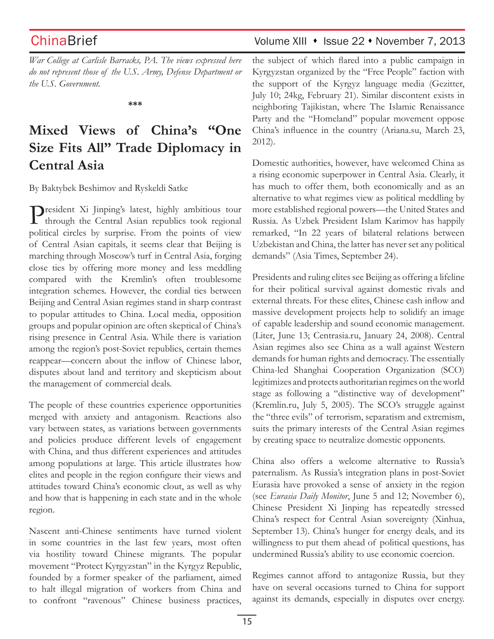*War College at Carlisle Barracks, PA. The views expressed here do not represent those of the U.S. Army, Defense Department or the U.S. Government.*

**\*\*\***

# **Mixed Views of China's "One Size Fits All" Trade Diplomacy in Central Asia**

By Baktybek Beshimov and Ryskeldi Satke

President Xi Jinping's latest, highly ambitious tour through the Central Asian republics took regional political circles by surprise. From the points of view of Central Asian capitals, it seems clear that Beijing is marching through Moscow's turf in Central Asia, forging close ties by offering more money and less meddling compared with the Kremlin's often troublesome integration schemes. However, the cordial ties between Beijing and Central Asian regimes stand in sharp contrast to popular attitudes to China. Local media, opposition groups and popular opinion are often skeptical of China's rising presence in Central Asia. While there is variation among the region's post-Soviet republics, certain themes reappear—concern about the inflow of Chinese labor, disputes about land and territory and skepticism about the management of commercial deals.

The people of these countries experience opportunities merged with anxiety and antagonism. Reactions also vary between states, as variations between governments and policies produce different levels of engagement with China, and thus different experiences and attitudes among populations at large. This article illustrates how elites and people in the region configure their views and attitudes toward China's economic clout, as well as why and how that is happening in each state and in the whole region.

Nascent anti-Chinese sentiments have turned violent in some countries in the last few years, most often via hostility toward Chinese migrants. The popular movement "Protect Kyrgyzstan" in the Kyrgyz Republic, founded by a former speaker of the parliament, aimed to halt illegal migration of workers from China and to confront "ravenous" Chinese business practices,

## ChinaBrief Volume XIII • Issue 22 • November 7, 2013

the subject of which flared into a public campaign in Kyrgyzstan organized by the "Free People" faction with the support of the Kyrgyz language media (Gezitter, July 10; 24kg, February 21). Similar discontent exists in neighboring Tajikistan, where The Islamic Renaissance Party and the "Homeland" popular movement oppose China's influence in the country (Ariana.su, March 23, 2012).

Domestic authorities, however, have welcomed China as a rising economic superpower in Central Asia. Clearly, it has much to offer them, both economically and as an alternative to what regimes view as political meddling by more established regional powers—the United States and Russia. As Uzbek President Islam Karimov has happily remarked, "In 22 years of bilateral relations between Uzbekistan and China, the latter has never set any political demands" (Asia Times, September 24).

Presidents and ruling elites see Beijing as offering a lifeline for their political survival against domestic rivals and external threats. For these elites, Chinese cash inflow and massive development projects help to solidify an image of capable leadership and sound economic management. (Liter, June 13; Centrasia.ru, January 24, 2008). Central Asian regimes also see China as a wall against Western demands for human rights and democracy. The essentially China-led Shanghai Cooperation Organization (SCO) legitimizes and protects authoritarian regimes on the world stage as following a "distinctive way of development" (Kremlin.ru, July 5, 2005). The SCO's struggle against the "three evils" of terrorism, separatism and extremism, suits the primary interests of the Central Asian regimes by creating space to neutralize domestic opponents.

China also offers a welcome alternative to Russia's paternalism. As Russia's integration plans in post-Soviet Eurasia have provoked a sense of anxiety in the region (see *Eurasia Daily Monitor*, June 5 and 12; November 6), Chinese President Xi Jinping has repeatedly stressed China's respect for Central Asian sovereignty (Xinhua, September 13). China's hunger for energy deals, and its willingness to put them ahead of political questions, has undermined Russia's ability to use economic coercion.

Regimes cannot afford to antagonize Russia, but they have on several occasions turned to China for support against its demands, especially in disputes over energy.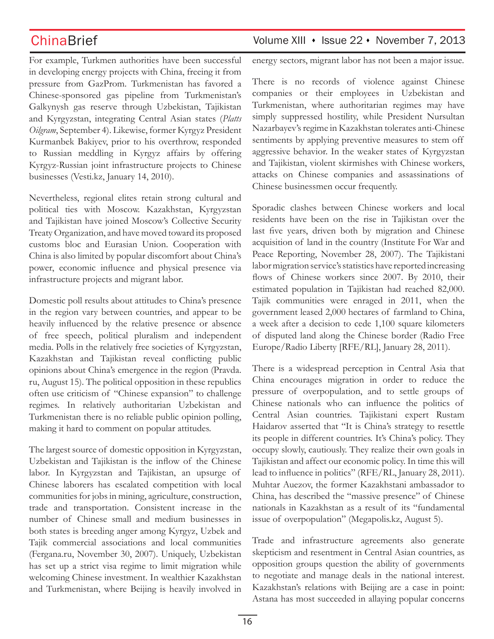For example, Turkmen authorities have been successful in developing energy projects with China, freeing it from pressure from GazProm. Turkmenistan has favored a Chinese-sponsored gas pipeline from Turkmenistan's Galkynysh gas reserve through Uzbekistan, Tajikistan and Kyrgyzstan, integrating Central Asian states (*Platts Oilgram*, September 4). Likewise, former Kyrgyz President Kurmanbek Bakiyev, prior to his overthrow, responded to Russian meddling in Kyrgyz affairs by offering Kyrgyz-Russian joint infrastructure projects to Chinese businesses (Vesti.kz, January 14, 2010).

Nevertheless, regional elites retain strong cultural and political ties with Moscow. Kazakhstan, Kyrgyzstan and Tajikistan have joined Moscow's Collective Security Treaty Organization, and have moved toward its proposed customs bloc and Eurasian Union. Cooperation with China is also limited by popular discomfort about China's power, economic influence and physical presence via infrastructure projects and migrant labor.

Domestic poll results about attitudes to China's presence in the region vary between countries, and appear to be heavily influenced by the relative presence or absence of free speech, political pluralism and independent media. Polls in the relatively free societies of Kyrgyzstan, Kazakhstan and Tajikistan reveal conflicting public opinions about China's emergence in the region (Pravda. ru, August 15). The political opposition in these republics often use criticism of "Chinese expansion" to challenge regimes. In relatively authoritarian Uzbekistan and Turkmenistan there is no reliable public opinion polling, making it hard to comment on popular attitudes.

The largest source of domestic opposition in Kyrgyzstan, Uzbekistan and Tajikistan is the inflow of the Chinese labor. In Kyrgyzstan and Tajikistan, an upsurge of Chinese laborers has escalated competition with local communities for jobs in mining, agriculture, construction, trade and transportation. Consistent increase in the number of Chinese small and medium businesses in both states is breeding anger among Kyrgyz, Uzbek and Tajik commercial associations and local communities (Fergana.ru, November 30, 2007). Uniquely, Uzbekistan has set up a strict visa regime to limit migration while welcoming Chinese investment. In wealthier Kazakhstan and Turkmenistan, where Beijing is heavily involved in

## ChinaBrief Volume XIII • Issue 22 • November 7, 2013

energy sectors, migrant labor has not been a major issue.

There is no records of violence against Chinese companies or their employees in Uzbekistan and Turkmenistan, where authoritarian regimes may have simply suppressed hostility, while President Nursultan Nazarbayev's regime in Kazakhstan tolerates anti-Chinese sentiments by applying preventive measures to stem off aggressive behavior. In the weaker states of Kyrgyzstan and Tajikistan, violent skirmishes with Chinese workers, attacks on Chinese companies and assassinations of Chinese businessmen occur frequently.

Sporadic clashes between Chinese workers and local residents have been on the rise in Tajikistan over the last five years, driven both by migration and Chinese acquisition of land in the country (Institute For War and Peace Reporting, November 28, 2007). The Tajikistani labor migration service's statistics have reported increasing flows of Chinese workers since 2007. By 2010, their estimated population in Tajikistan had reached 82,000. Tajik communities were enraged in 2011, when the government leased 2,000 hectares of farmland to China, a week after a decision to cede 1,100 square kilometers of disputed land along the Chinese border (Radio Free Europe/Radio Liberty [RFE/RL], January 28, 2011).

There is a widespread perception in Central Asia that China encourages migration in order to reduce the pressure of overpopulation, and to settle groups of Chinese nationals who can influence the politics of Central Asian countries. Tajikistani expert Rustam Haidarov asserted that "It is China's strategy to resettle its people in different countries. It's China's policy. They occupy slowly, cautiously. They realize their own goals in Tajikistan and affect our economic policy. In time this will lead to influence in politics" (RFE/RL, January 28, 2011). Muhtar Auezov, the former Kazakhstani ambassador to China, has described the "massive presence" of Chinese nationals in Kazakhstan as a result of its "fundamental issue of overpopulation" (Megapolis.kz, August 5).

Trade and infrastructure agreements also generate skepticism and resentment in Central Asian countries, as opposition groups question the ability of governments to negotiate and manage deals in the national interest. Kazakhstan's relations with Beijing are a case in point: Astana has most succeeded in allaying popular concerns